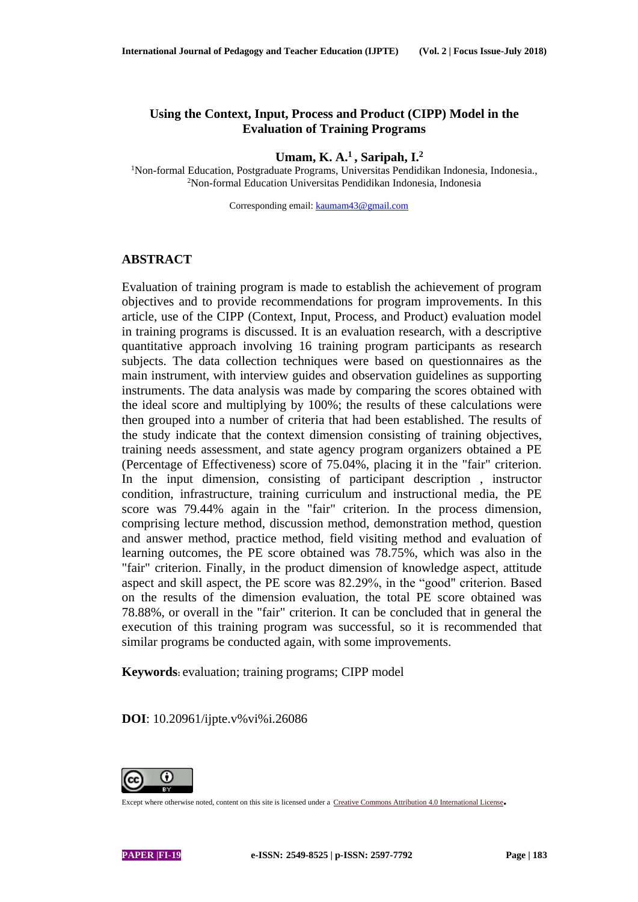# **Using the Context, Input, Process and Product (CIPP) Model in the Evaluation of Training Programs**

**Umam, K. A.<sup>1</sup>, Saripah, I.<sup>2</sup>**

<sup>1</sup>Non-formal Education, Postgraduate Programs, Universitas Pendidikan Indonesia, Indonesia., <sup>2</sup>Non-formal Education Universitas Pendidikan Indonesia, Indonesia

Corresponding email[: kaumam43@gmail.com](mailto:kaumam43@gmail.com)

#### **ABSTRACT**

Evaluation of training program is made to establish the achievement of program objectives and to provide recommendations for program improvements. In this article, use of the CIPP (Context, Input, Process, and Product) evaluation model in training programs is discussed. It is an evaluation research, with a descriptive quantitative approach involving 16 training program participants as research subjects. The data collection techniques were based on questionnaires as the main instrument, with interview guides and observation guidelines as supporting instruments. The data analysis was made by comparing the scores obtained with the ideal score and multiplying by 100%; the results of these calculations were then grouped into a number of criteria that had been established. The results of the study indicate that the context dimension consisting of training objectives, training needs assessment, and state agency program organizers obtained a PE (Percentage of Effectiveness) score of 75.04%, placing it in the "fair" criterion. In the input dimension, consisting of participant description , instructor condition, infrastructure, training curriculum and instructional media, the PE score was 79.44% again in the "fair" criterion. In the process dimension, comprising lecture method, discussion method, demonstration method, question and answer method, practice method, field visiting method and evaluation of learning outcomes, the PE score obtained was 78.75%, which was also in the "fair" criterion. Finally, in the product dimension of knowledge aspect, attitude aspect and skill aspect, the PE score was 82.29%, in the "good" criterion. Based on the results of the dimension evaluation, the total PE score obtained was 78.88%, or overall in the "fair" criterion. It can be concluded that in general the execution of this training program was successful, so it is recommended that similar programs be conducted again, with some improvements.

**Keywords:** evaluation; training programs; CIPP model

**DOI**: 10.20961/ijpte.v%vi%i.26086



Except where otherwise noted, content on this site is licensed under <sup>a</sup> Creative Commons Attribution 4.0 [International](http://creativecommons.org/licenses/by/4.0/) License**.**

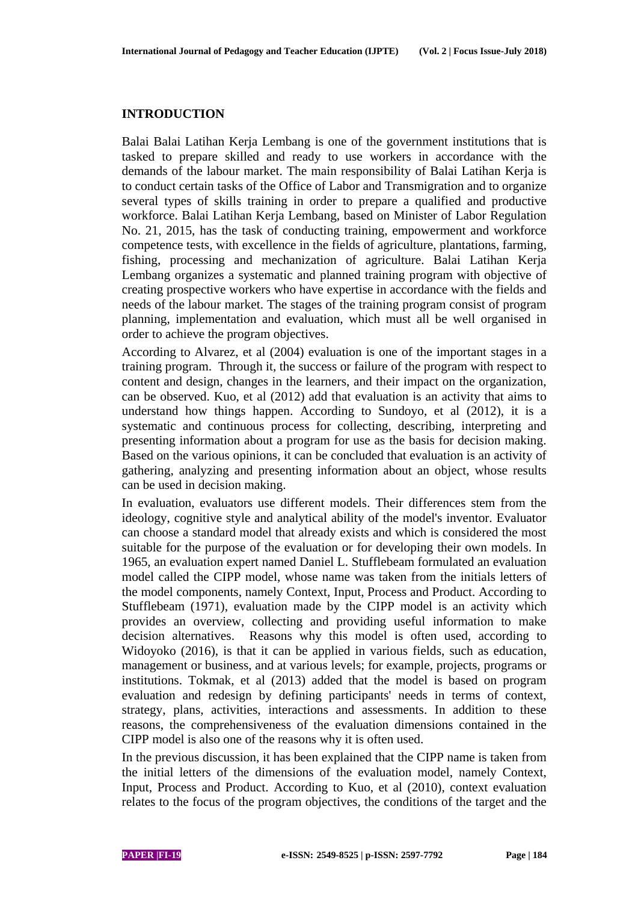# **INTRODUCTION**

Balai Balai Latihan Kerja Lembang is one of the government institutions that is tasked to prepare skilled and ready to use workers in accordance with the demands of the labour market. The main responsibility of Balai Latihan Kerja is to conduct certain tasks of the Office of Labor and Transmigration and to organize several types of skills training in order to prepare a qualified and productive workforce. Balai Latihan Kerja Lembang, based on Minister of Labor Regulation No. 21, 2015, has the task of conducting training, empowerment and workforce competence tests, with excellence in the fields of agriculture, plantations, farming, fishing, processing and mechanization of agriculture. Balai Latihan Kerja Lembang organizes a systematic and planned training program with objective of creating prospective workers who have expertise in accordance with the fields and needs of the labour market. The stages of the training program consist of program planning, implementation and evaluation, which must all be well organised in order to achieve the program objectives.

According to Alvarez, et al (2004) evaluation is one of the important stages in a training program. Through it, the success or failure of the program with respect to content and design, changes in the learners, and their impact on the organization, can be observed. Kuo, et al (2012) add that evaluation is an activity that aims to understand how things happen. According to Sundoyo, et al (2012), it is a systematic and continuous process for collecting, describing, interpreting and presenting information about a program for use as the basis for decision making. Based on the various opinions, it can be concluded that evaluation is an activity of gathering, analyzing and presenting information about an object, whose results can be used in decision making.

In evaluation, evaluators use different models. Their differences stem from the ideology, cognitive style and analytical ability of the model's inventor. Evaluator can choose a standard model that already exists and which is considered the most suitable for the purpose of the evaluation or for developing their own models. In 1965, an evaluation expert named Daniel L. Stufflebeam formulated an evaluation model called the CIPP model, whose name was taken from the initials letters of the model components, namely Context, Input, Process and Product. According to Stufflebeam (1971), evaluation made by the CIPP model is an activity which provides an overview, collecting and providing useful information to make decision alternatives. Reasons why this model is often used, according to Widoyoko (2016), is that it can be applied in various fields, such as education, management or business, and at various levels; for example, projects, programs or institutions. Tokmak, et al (2013) added that the model is based on program evaluation and redesign by defining participants' needs in terms of context, strategy, plans, activities, interactions and assessments. In addition to these reasons, the comprehensiveness of the evaluation dimensions contained in the CIPP model is also one of the reasons why it is often used.

In the previous discussion, it has been explained that the CIPP name is taken from the initial letters of the dimensions of the evaluation model, namely Context, Input, Process and Product. According to Kuo, et al (2010), context evaluation relates to the focus of the program objectives, the conditions of the target and the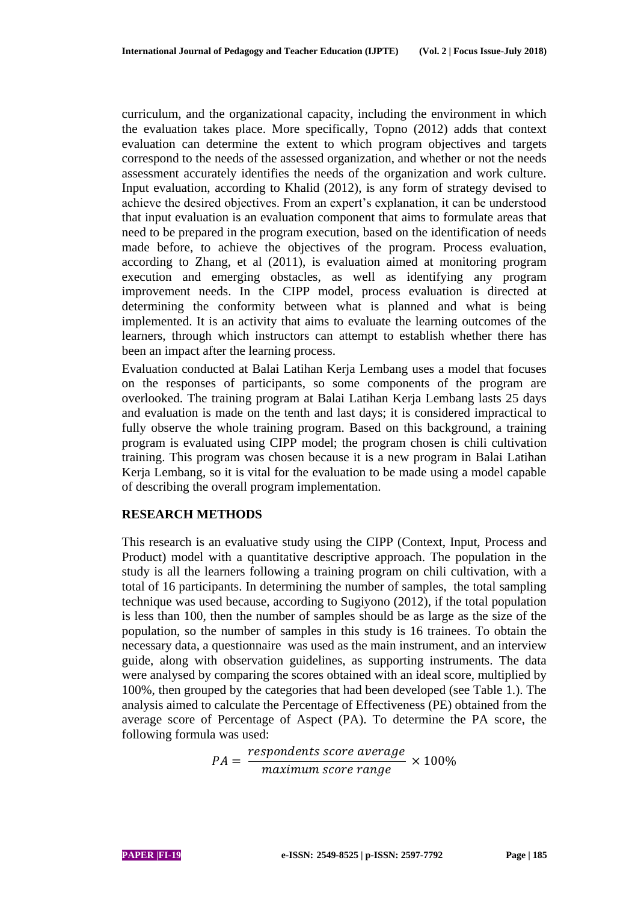curriculum, and the organizational capacity, including the environment in which the evaluation takes place. More specifically, Topno (2012) adds that context evaluation can determine the extent to which program objectives and targets correspond to the needs of the assessed organization, and whether or not the needs assessment accurately identifies the needs of the organization and work culture. Input evaluation, according to Khalid (2012), is any form of strategy devised to achieve the desired objectives. From an expert's explanation, it can be understood that input evaluation is an evaluation component that aims to formulate areas that need to be prepared in the program execution, based on the identification of needs made before, to achieve the objectives of the program. Process evaluation, according to Zhang, et al (2011), is evaluation aimed at monitoring program execution and emerging obstacles, as well as identifying any program improvement needs. In the CIPP model, process evaluation is directed at determining the conformity between what is planned and what is being implemented. It is an activity that aims to evaluate the learning outcomes of the learners, through which instructors can attempt to establish whether there has been an impact after the learning process.

Evaluation conducted at Balai Latihan Kerja Lembang uses a model that focuses on the responses of participants, so some components of the program are overlooked. The training program at Balai Latihan Kerja Lembang lasts 25 days and evaluation is made on the tenth and last days; it is considered impractical to fully observe the whole training program. Based on this background, a training program is evaluated using CIPP model; the program chosen is chili cultivation training. This program was chosen because it is a new program in Balai Latihan Kerja Lembang, so it is vital for the evaluation to be made using a model capable of describing the overall program implementation.

# **RESEARCH METHODS**

This research is an evaluative study using the CIPP (Context, Input, Process and Product) model with a quantitative descriptive approach. The population in the study is all the learners following a training program on chili cultivation, with a total of 16 participants. In determining the number of samples, the total sampling technique was used because, according to Sugiyono (2012), if the total population is less than 100, then the number of samples should be as large as the size of the population, so the number of samples in this study is 16 trainees. To obtain the necessary data, a questionnaire was used as the main instrument, and an interview guide, along with observation guidelines, as supporting instruments. The data were analysed by comparing the scores obtained with an ideal score, multiplied by 100%, then grouped by the categories that had been developed (see Table 1.). The analysis aimed to calculate the Percentage of Effectiveness (PE) obtained from the average score of Percentage of Aspect (PA). To determine the PA score, the following formula was used:

$$
PA = \frac{respondents \, score \, average}{maximum \, score \, range} \times 100\%
$$

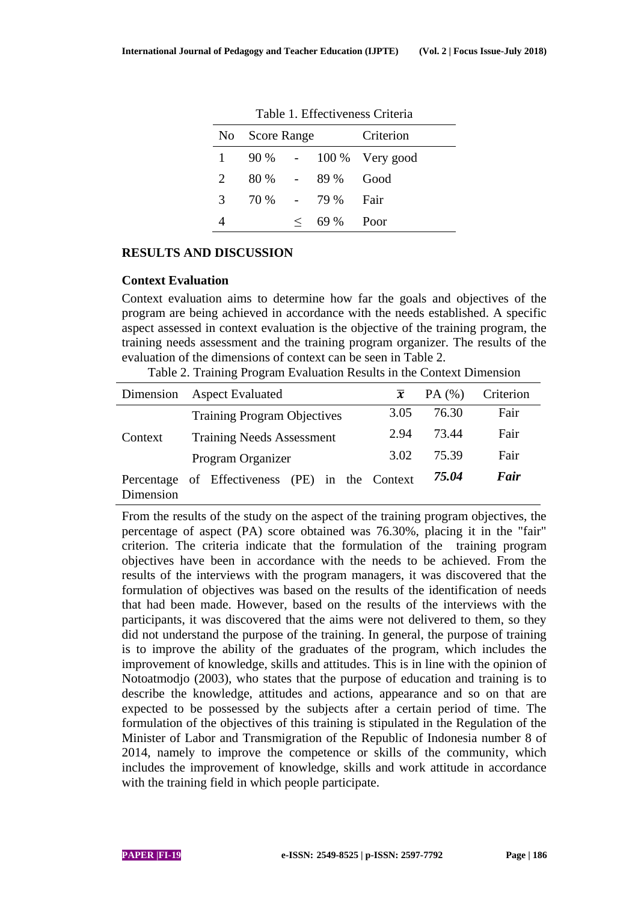|               | No Score Range |         |           | Criterion       |  |  |
|---------------|----------------|---------|-----------|-----------------|--|--|
|               | $90\%$ -       |         |           | 100 % Very good |  |  |
| 2             | 80 %           |         | 89 %      | Good            |  |  |
| $\mathcal{F}$ | 70 %           |         | $-79\%$   | Fair            |  |  |
|               |                | $\,<\,$ | 69 % Poor |                 |  |  |

Table 1. Effectiveness Criteria

# **RESULTS AND DISCUSSION**

#### **Context Evaluation**

Context evaluation aims to determine how far the goals and objectives of the program are being achieved in accordance with the needs established. A specific aspect assessed in context evaluation is the objective of the training program, the training needs assessment and the training program organizer. The results of the evaluation of the dimensions of context can be seen in Table 2.

Table 2. Training Program Evaluation Results in the Context Dimension

| Dimension               | <b>Aspect Evaluated</b>              | $\overline{x}$ | PA(%) | Criterion |
|-------------------------|--------------------------------------|----------------|-------|-----------|
|                         | <b>Training Program Objectives</b>   | 3.05           | 76.30 | Fair      |
| Context                 | <b>Training Needs Assessment</b>     | 2.94           | 73.44 | Fair      |
|                         | Program Organizer                    | 3.02           | 75.39 | Fair      |
| Percentage<br>Dimension | of Effectiveness (PE) in the Context |                | 75.04 | Fair      |

From the results of the study on the aspect of the training program objectives, the percentage of aspect (PA) score obtained was 76.30%, placing it in the "fair" criterion. The criteria indicate that the formulation of the training program objectives have been in accordance with the needs to be achieved. From the results of the interviews with the program managers, it was discovered that the formulation of objectives was based on the results of the identification of needs that had been made. However, based on the results of the interviews with the participants, it was discovered that the aims were not delivered to them, so they did not understand the purpose of the training. In general, the purpose of training is to improve the ability of the graduates of the program, which includes the improvement of knowledge, skills and attitudes. This is in line with the opinion of Notoatmodjo (2003), who states that the purpose of education and training is to describe the knowledge, attitudes and actions, appearance and so on that are expected to be possessed by the subjects after a certain period of time. The formulation of the objectives of this training is stipulated in the Regulation of the Minister of Labor and Transmigration of the Republic of Indonesia number 8 of 2014, namely to improve the competence or skills of the community, which includes the improvement of knowledge, skills and work attitude in accordance with the training field in which people participate.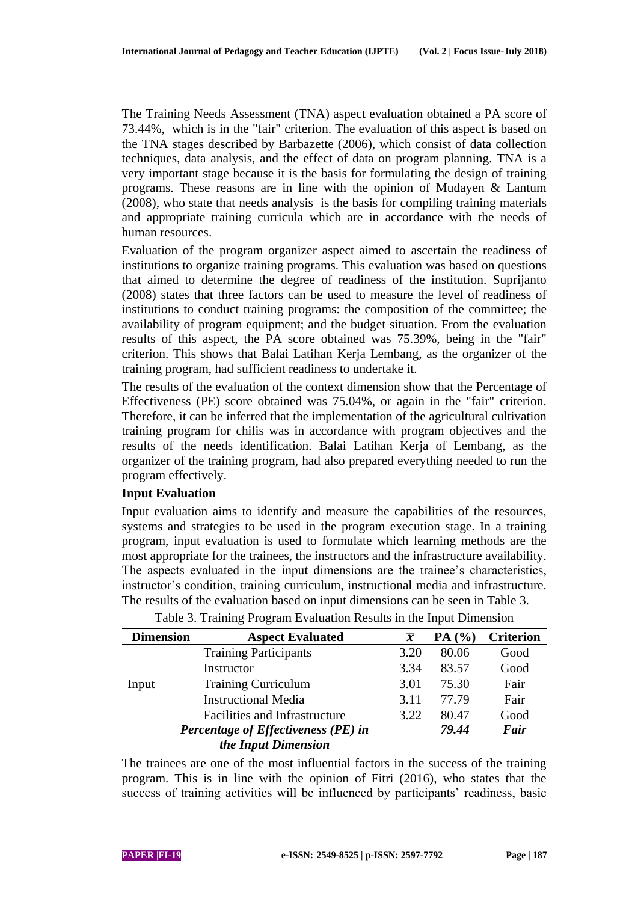The Training Needs Assessment (TNA) aspect evaluation obtained a PA score of 73.44%, which is in the "fair" criterion. The evaluation of this aspect is based on the TNA stages described by Barbazette (2006), which consist of data collection techniques, data analysis, and the effect of data on program planning. TNA is a very important stage because it is the basis for formulating the design of training programs. These reasons are in line with the opinion of Mudayen & Lantum (2008), who state that needs analysis is the basis for compiling training materials and appropriate training curricula which are in accordance with the needs of human resources.

Evaluation of the program organizer aspect aimed to ascertain the readiness of institutions to organize training programs. This evaluation was based on questions that aimed to determine the degree of readiness of the institution. Suprijanto (2008) states that three factors can be used to measure the level of readiness of institutions to conduct training programs: the composition of the committee; the availability of program equipment; and the budget situation. From the evaluation results of this aspect, the PA score obtained was 75.39%, being in the "fair" criterion. This shows that Balai Latihan Kerja Lembang, as the organizer of the training program, had sufficient readiness to undertake it.

The results of the evaluation of the context dimension show that the Percentage of Effectiveness (PE) score obtained was 75.04%, or again in the "fair" criterion. Therefore, it can be inferred that the implementation of the agricultural cultivation training program for chilis was in accordance with program objectives and the results of the needs identification. Balai Latihan Kerja of Lembang, as the organizer of the training program, had also prepared everything needed to run the program effectively.

# **Input Evaluation**

Input evaluation aims to identify and measure the capabilities of the resources, systems and strategies to be used in the program execution stage. In a training program, input evaluation is used to formulate which learning methods are the most appropriate for the trainees, the instructors and the infrastructure availability. The aspects evaluated in the input dimensions are the trainee's characteristics, instructor's condition, training curriculum, instructional media and infrastructure. The results of the evaluation based on input dimensions can be seen in Table 3.

| <b>Dimension</b> | <b>Aspect Evaluated</b>             | $\overline{\bm{x}}$ | PA(%) | <b>Criterion</b> |
|------------------|-------------------------------------|---------------------|-------|------------------|
|                  | <b>Training Participants</b>        | 3.20                | 80.06 | Good             |
|                  | Instructor                          | 3.34                | 83.57 | Good             |
| Input            | <b>Training Curriculum</b>          | 3.01                | 75.30 | Fair             |
|                  | <b>Instructional Media</b>          | 3.11                | 77.79 | Fair             |
|                  | Facilities and Infrastructure       | 3.22                | 80.47 | Good             |
|                  | Percentage of Effectiveness (PE) in |                     | 79.44 | Fair             |
|                  | the Input Dimension                 |                     |       |                  |

Table 3. Training Program Evaluation Results in the Input Dimension

The trainees are one of the most influential factors in the success of the training program. This is in line with the opinion of Fitri (2016), who states that the success of training activities will be influenced by participants' readiness, basic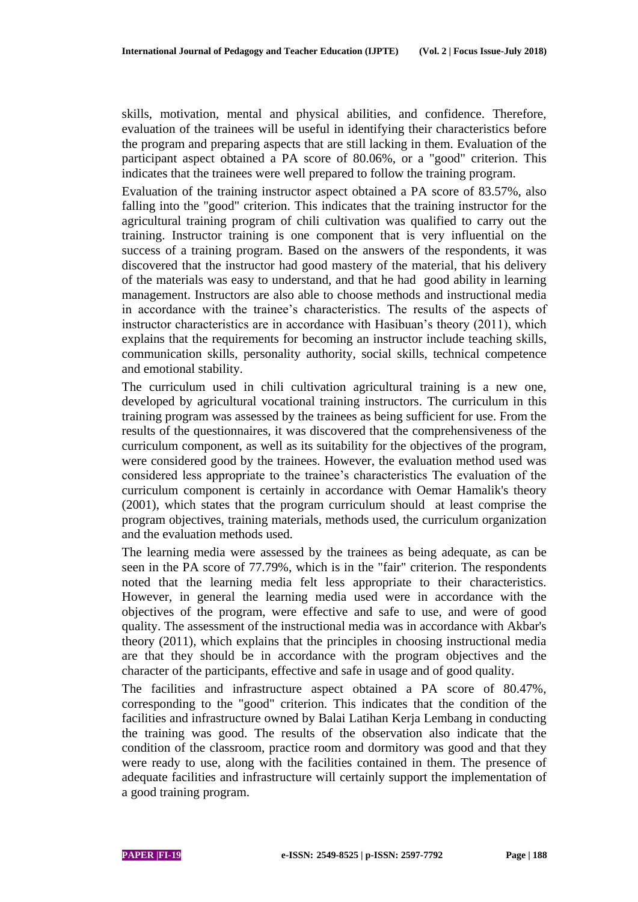skills, motivation, mental and physical abilities, and confidence. Therefore, evaluation of the trainees will be useful in identifying their characteristics before the program and preparing aspects that are still lacking in them. Evaluation of the participant aspect obtained a PA score of 80.06%, or a "good" criterion. This indicates that the trainees were well prepared to follow the training program.

Evaluation of the training instructor aspect obtained a PA score of 83.57%, also falling into the "good" criterion. This indicates that the training instructor for the agricultural training program of chili cultivation was qualified to carry out the training. Instructor training is one component that is very influential on the success of a training program. Based on the answers of the respondents, it was discovered that the instructor had good mastery of the material, that his delivery of the materials was easy to understand, and that he had good ability in learning management. Instructors are also able to choose methods and instructional media in accordance with the trainee's characteristics. The results of the aspects of instructor characteristics are in accordance with Hasibuan's theory (2011), which explains that the requirements for becoming an instructor include teaching skills, communication skills, personality authority, social skills, technical competence and emotional stability.

The curriculum used in chili cultivation agricultural training is a new one, developed by agricultural vocational training instructors. The curriculum in this training program was assessed by the trainees as being sufficient for use. From the results of the questionnaires, it was discovered that the comprehensiveness of the curriculum component, as well as its suitability for the objectives of the program, were considered good by the trainees. However, the evaluation method used was considered less appropriate to the trainee's characteristics The evaluation of the curriculum component is certainly in accordance with Oemar Hamalik's theory (2001), which states that the program curriculum should at least comprise the program objectives, training materials, methods used, the curriculum organization and the evaluation methods used.

The learning media were assessed by the trainees as being adequate, as can be seen in the PA score of 77.79%, which is in the "fair" criterion. The respondents noted that the learning media felt less appropriate to their characteristics. However, in general the learning media used were in accordance with the objectives of the program, were effective and safe to use, and were of good quality. The assessment of the instructional media was in accordance with Akbar's theory (2011), which explains that the principles in choosing instructional media are that they should be in accordance with the program objectives and the character of the participants, effective and safe in usage and of good quality.

The facilities and infrastructure aspect obtained a PA score of 80.47%, corresponding to the "good" criterion. This indicates that the condition of the facilities and infrastructure owned by Balai Latihan Kerja Lembang in conducting the training was good. The results of the observation also indicate that the condition of the classroom, practice room and dormitory was good and that they were ready to use, along with the facilities contained in them. The presence of adequate facilities and infrastructure will certainly support the implementation of a good training program.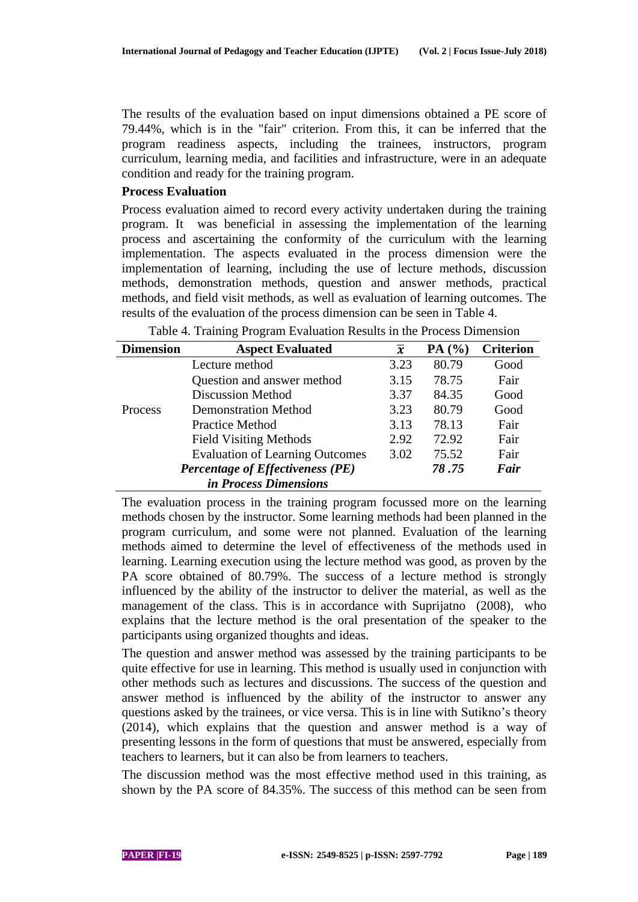The results of the evaluation based on input dimensions obtained a PE score of 79.44%, which is in the "fair" criterion. From this, it can be inferred that the program readiness aspects, including the trainees, instructors, program curriculum, learning media, and facilities and infrastructure, were in an adequate condition and ready for the training program.

#### **Process Evaluation**

Process evaluation aimed to record every activity undertaken during the training program. It was beneficial in assessing the implementation of the learning process and ascertaining the conformity of the curriculum with the learning implementation. The aspects evaluated in the process dimension were the implementation of learning, including the use of lecture methods, discussion methods, demonstration methods, question and answer methods, practical methods, and field visit methods, as well as evaluation of learning outcomes. The results of the evaluation of the process dimension can be seen in Table 4.

| <b>Dimension</b> | <b>Aspect Evaluated</b>                | $\overline{\mathbf{x}}$ | PA(%) | <b>Criterion</b> |
|------------------|----------------------------------------|-------------------------|-------|------------------|
|                  | Lecture method                         | 3.23                    | 80.79 | Good             |
|                  | Question and answer method             | 3.15                    | 78.75 | Fair             |
|                  | <b>Discussion Method</b>               | 3.37                    | 84.35 | Good             |
| Process          | <b>Demonstration Method</b>            | 3.23                    | 80.79 | Good             |
|                  | <b>Practice Method</b>                 | 3.13                    | 78.13 | Fair             |
|                  | <b>Field Visiting Methods</b>          | 2.92                    | 72.92 | Fair             |
|                  | <b>Evaluation of Learning Outcomes</b> | 3.02                    | 75.52 | Fair             |
|                  | Percentage of Effectiveness (PE)       |                         | 78.75 | Fair             |
|                  | in Process Dimensions                  |                         |       |                  |

Table 4. Training Program Evaluation Results in the Process Dimension

The evaluation process in the training program focussed more on the learning methods chosen by the instructor. Some learning methods had been planned in the program curriculum, and some were not planned. Evaluation of the learning methods aimed to determine the level of effectiveness of the methods used in learning. Learning execution using the lecture method was good, as proven by the PA score obtained of 80.79%. The success of a lecture method is strongly influenced by the ability of the instructor to deliver the material, as well as the management of the class. This is in accordance with Suprijatno (2008), who explains that the lecture method is the oral presentation of the speaker to the participants using organized thoughts and ideas.

The question and answer method was assessed by the training participants to be quite effective for use in learning. This method is usually used in conjunction with other methods such as lectures and discussions. The success of the question and answer method is influenced by the ability of the instructor to answer any questions asked by the trainees, or vice versa. This is in line with Sutikno's theory (2014), which explains that the question and answer method is a way of presenting lessons in the form of questions that must be answered, especially from teachers to learners, but it can also be from learners to teachers.

The discussion method was the most effective method used in this training, as shown by the PA score of 84.35%. The success of this method can be seen from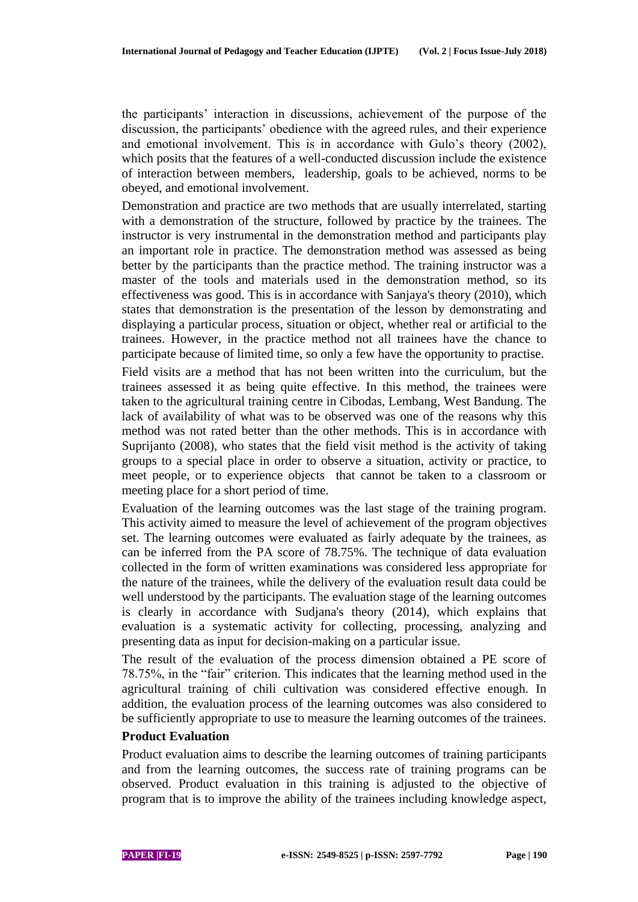the participants' interaction in discussions, achievement of the purpose of the discussion, the participants' obedience with the agreed rules, and their experience and emotional involvement. This is in accordance with Gulo's theory (2002), which posits that the features of a well-conducted discussion include the existence of interaction between members, leadership, goals to be achieved, norms to be obeyed, and emotional involvement.

Demonstration and practice are two methods that are usually interrelated, starting with a demonstration of the structure, followed by practice by the trainees. The instructor is very instrumental in the demonstration method and participants play an important role in practice. The demonstration method was assessed as being better by the participants than the practice method. The training instructor was a master of the tools and materials used in the demonstration method, so its effectiveness was good. This is in accordance with Sanjaya's theory (2010), which states that demonstration is the presentation of the lesson by demonstrating and displaying a particular process, situation or object, whether real or artificial to the trainees. However, in the practice method not all trainees have the chance to participate because of limited time, so only a few have the opportunity to practise.

Field visits are a method that has not been written into the curriculum, but the trainees assessed it as being quite effective. In this method, the trainees were taken to the agricultural training centre in Cibodas, Lembang, West Bandung. The lack of availability of what was to be observed was one of the reasons why this method was not rated better than the other methods. This is in accordance with Suprijanto (2008), who states that the field visit method is the activity of taking groups to a special place in order to observe a situation, activity or practice, to meet people, or to experience objects that cannot be taken to a classroom or meeting place for a short period of time.

Evaluation of the learning outcomes was the last stage of the training program. This activity aimed to measure the level of achievement of the program objectives set. The learning outcomes were evaluated as fairly adequate by the trainees, as can be inferred from the PA score of 78.75%. The technique of data evaluation collected in the form of written examinations was considered less appropriate for the nature of the trainees, while the delivery of the evaluation result data could be well understood by the participants. The evaluation stage of the learning outcomes is clearly in accordance with Sudjana's theory (2014), which explains that evaluation is a systematic activity for collecting, processing, analyzing and presenting data as input for decision-making on a particular issue.

The result of the evaluation of the process dimension obtained a PE score of 78.75%, in the "fair" criterion. This indicates that the learning method used in the agricultural training of chili cultivation was considered effective enough. In addition, the evaluation process of the learning outcomes was also considered to be sufficiently appropriate to use to measure the learning outcomes of the trainees.

# **Product Evaluation**

Product evaluation aims to describe the learning outcomes of training participants and from the learning outcomes, the success rate of training programs can be observed. Product evaluation in this training is adjusted to the objective of program that is to improve the ability of the trainees including knowledge aspect,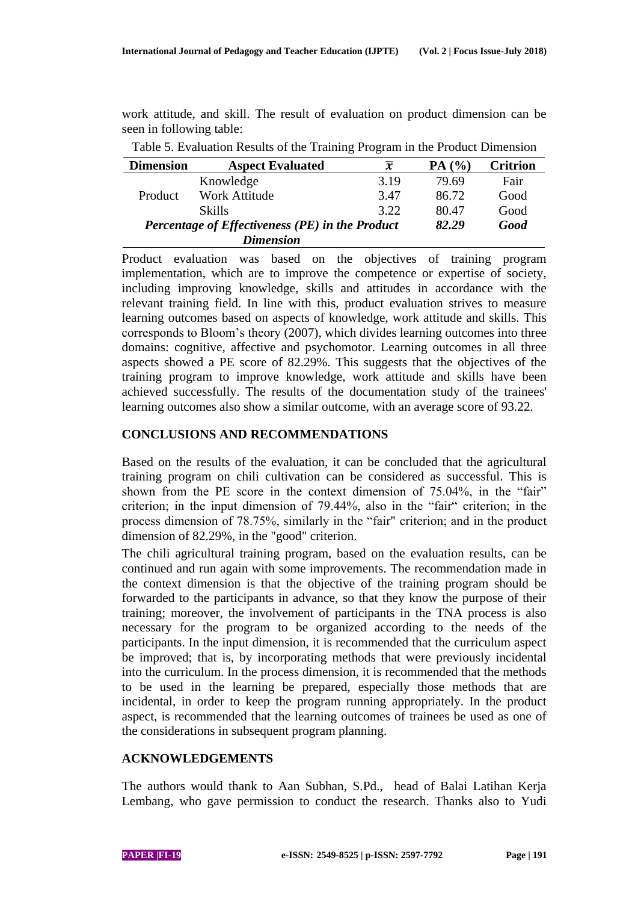work attitude, and skill. The result of evaluation on product dimension can be seen in following table:

| <b>Dimension</b>                                | <b>Aspect Evaluated</b> | $\boldsymbol{x}$ | PA(%) | <b>Critrion</b> |
|-------------------------------------------------|-------------------------|------------------|-------|-----------------|
|                                                 | Knowledge               | 3.19             | 79.69 | Fair            |
| Product                                         | <b>Work Attitude</b>    | 3.47             | 86.72 | Good            |
|                                                 | <b>Skills</b>           | 3.22             | 80.47 | Good            |
| Percentage of Effectiveness (PE) in the Product |                         |                  | 82.29 | Good            |
|                                                 | <b>Dimension</b>        |                  |       |                 |

Table 5. Evaluation Results of the Training Program in the Product Dimension

Product evaluation was based on the objectives of training program implementation, which are to improve the competence or expertise of society, including improving knowledge, skills and attitudes in accordance with the relevant training field. In line with this, product evaluation strives to measure learning outcomes based on aspects of knowledge, work attitude and skills. This corresponds to Bloom's theory (2007), which divides learning outcomes into three domains: cognitive, affective and psychomotor. Learning outcomes in all three aspects showed a PE score of 82.29%. This suggests that the objectives of the training program to improve knowledge, work attitude and skills have been achieved successfully. The results of the documentation study of the trainees' learning outcomes also show a similar outcome, with an average score of 93.22.

# **CONCLUSIONS AND RECOMMENDATIONS**

Based on the results of the evaluation, it can be concluded that the agricultural training program on chili cultivation can be considered as successful. This is shown from the PE score in the context dimension of 75.04%, in the "fair" criterion; in the input dimension of 79.44%, also in the "fair" criterion; in the process dimension of 78.75%, similarly in the "fair" criterion; and in the product dimension of 82.29%, in the "good" criterion.

The chili agricultural training program, based on the evaluation results, can be continued and run again with some improvements. The recommendation made in the context dimension is that the objective of the training program should be forwarded to the participants in advance, so that they know the purpose of their training; moreover, the involvement of participants in the TNA process is also necessary for the program to be organized according to the needs of the participants. In the input dimension, it is recommended that the curriculum aspect be improved; that is, by incorporating methods that were previously incidental into the curriculum. In the process dimension, it is recommended that the methods to be used in the learning be prepared, especially those methods that are incidental, in order to keep the program running appropriately. In the product aspect, is recommended that the learning outcomes of trainees be used as one of the considerations in subsequent program planning.

# **ACKNOWLEDGEMENTS**

The authors would thank to Aan Subhan, S.Pd., head of Balai Latihan Kerja Lembang, who gave permission to conduct the research. Thanks also to Yudi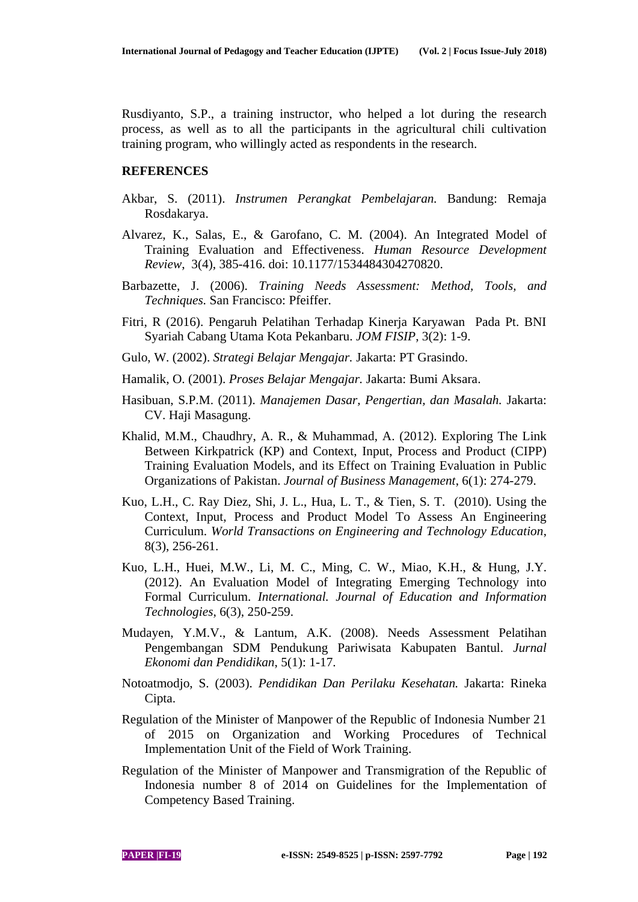Rusdiyanto, S.P., a training instructor, who helped a lot during the research process, as well as to all the participants in the agricultural chili cultivation training program, who willingly acted as respondents in the research.

#### **REFERENCES**

- Akbar, S. (2011). *Instrumen Perangkat Pembelajaran.* Bandung: Remaja Rosdakarya.
- Alvarez, K., Salas, E., & Garofano, C. M. (2004). An Integrated Model of Training Evaluation and Effectiveness. *Human Resource Development Review*, 3(4), 385-416. doi: 10.1177/1534484304270820.
- Barbazette, J. (2006). *Training Needs Assessment: Method, Tools, and Techniques.* San Francisco: Pfeiffer.
- Fitri, R (2016). Pengaruh Pelatihan Terhadap Kinerja Karyawan Pada Pt. BNI Syariah Cabang Utama Kota Pekanbaru. *JOM FISIP*, 3(2): 1-9.
- Gulo, W. (2002). *Strategi Belajar Mengajar.* Jakarta: PT Grasindo.
- Hamalik, O. (2001). *Proses Belajar Mengajar.* Jakarta: Bumi Aksara.
- Hasibuan, S.P.M. (2011). *Manajemen Dasar, Pengertian, dan Masalah.* Jakarta: CV. Haji Masagung.
- Khalid, M.M., Chaudhry, A. R., & Muhammad, A. (2012). Exploring The Link Between Kirkpatrick (KP) and Context, Input, Process and Product (CIPP) Training Evaluation Models, and its Effect on Training Evaluation in Public Organizations of Pakistan. *Journal of Business Management*, 6(1): 274-279.
- Kuo, L.H., C. Ray Diez, Shi, J. L., Hua, L. T., & Tien, S. T. (2010). Using the Context, Input, Process and Product Model To Assess An Engineering Curriculum. *World Transactions on Engineering and Technology Education*, 8(3), 256-261.
- Kuo, L.H., Huei, M.W., Li, M. C., Ming, C. W., Miao, K.H., & Hung, J.Y. (2012). An Evaluation Model of Integrating Emerging Technology into Formal Curriculum. *International. Journal of Education and Information Technologies*, 6(3), 250-259.
- Mudayen, Y.M.V., & Lantum, A.K. (2008). Needs Assessment Pelatihan Pengembangan SDM Pendukung Pariwisata Kabupaten Bantul. *Jurnal Ekonomi dan Pendidikan*, 5(1): 1-17.
- Notoatmodjo, S. (2003). *Pendidikan Dan Perilaku Kesehatan.* Jakarta: Rineka Cipta.
- Regulation of the Minister of Manpower of the Republic of Indonesia Number 21 of 2015 on Organization and Working Procedures of Technical Implementation Unit of the Field of Work Training.
- Regulation of the Minister of Manpower and Transmigration of the Republic of Indonesia number 8 of 2014 on Guidelines for the Implementation of Competency Based Training.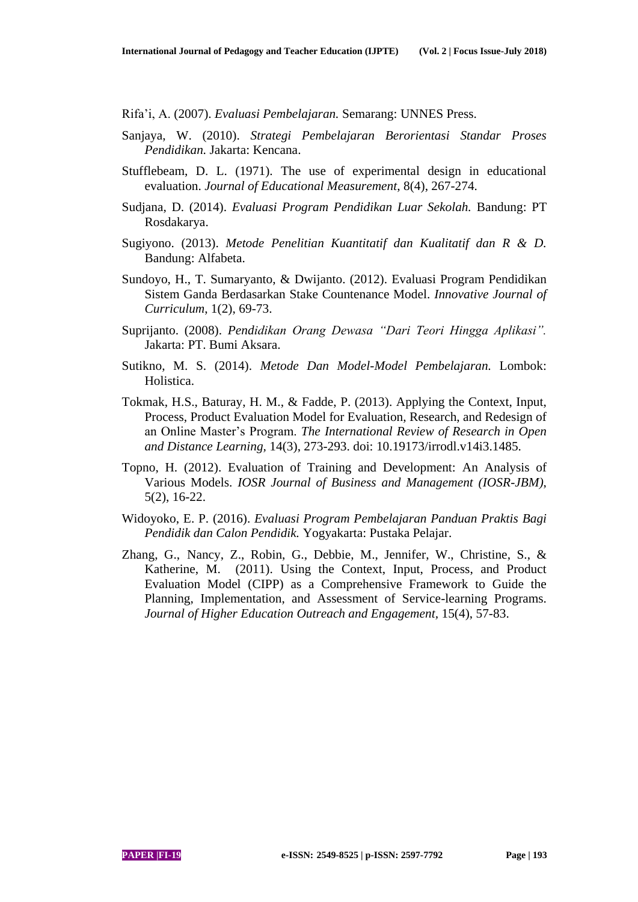Rifa'i, A. (2007). *Evaluasi Pembelajaran.* Semarang: UNNES Press.

- Sanjaya, W. (2010). *Strategi Pembelajaran Berorientasi Standar Proses Pendidikan.* Jakarta: Kencana.
- Stufflebeam, D. L. (1971). The use of experimental design in educational evaluation. *Journal of Educational Measurement*, 8(4), 267-274.
- Sudjana, D. (2014). *Evaluasi Program Pendidikan Luar Sekolah.* Bandung: PT Rosdakarya.
- Sugiyono. (2013). *Metode Penelitian Kuantitatif dan Kualitatif dan R & D.*  Bandung: Alfabeta.
- Sundoyo, H., T. Sumaryanto, & Dwijanto. (2012). Evaluasi Program Pendidikan Sistem Ganda Berdasarkan Stake Countenance Model. *Innovative Journal of Curriculum*, 1(2), 69-73.
- Suprijanto. (2008). *Pendidikan Orang Dewasa "Dari Teori Hingga Aplikasi".* Jakarta: PT. Bumi Aksara.
- Sutikno, M. S. (2014). *Metode Dan Model-Model Pembelajaran.* Lombok: Holistica.
- Tokmak, H.S., Baturay, H. M., & Fadde, P. (2013). Applying the Context, Input, Process, Product Evaluation Model for Evaluation, Research, and Redesign of an Online Master's Program. *The International Review of Research in Open and Distance Learning,* 14(3), 273-293. doi: 10.19173/irrodl.v14i3.1485.
- Topno, H. (2012). Evaluation of Training and Development: An Analysis of Various Models. *IOSR Journal of Business and Management (IOSR-JBM)*, 5(2), 16-22.
- Widoyoko, E. P. (2016). *Evaluasi Program Pembelajaran Panduan Praktis Bagi Pendidik dan Calon Pendidik.* Yogyakarta: Pustaka Pelajar.
- Zhang, G., Nancy, Z., Robin, G., Debbie, M., Jennifer, W., Christine, S., & Katherine, M. (2011). Using the Context, Input, Process, and Product Evaluation Model (CIPP) as a Comprehensive Framework to Guide the Planning, Implementation, and Assessment of Service-learning Programs. *Journal of Higher Education Outreach and Engagement,* 15(4), 57-83.